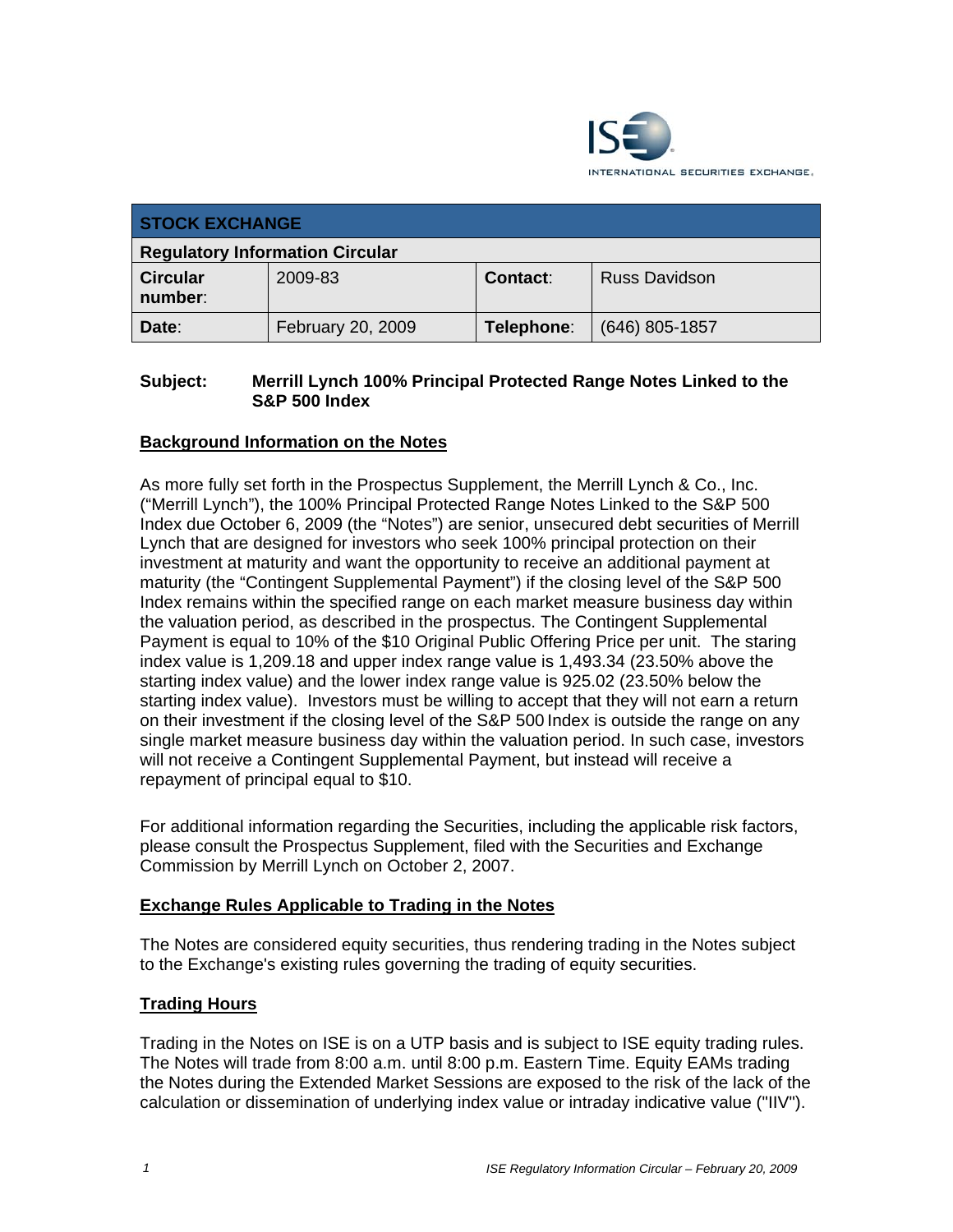

| <b>STOCK EXCHANGE</b>                  |                   |                 |                      |
|----------------------------------------|-------------------|-----------------|----------------------|
| <b>Regulatory Information Circular</b> |                   |                 |                      |
| <b>Circular</b><br>number:             | 2009-83           | <b>Contact:</b> | <b>Russ Davidson</b> |
| Date:                                  | February 20, 2009 | Telephone:      | $(646)$ 805-1857     |

### **Subject: Merrill Lynch 100% Principal Protected Range Notes Linked to the S&P 500 Index**

## **Background Information on the Notes**

As more fully set forth in the Prospectus Supplement, the Merrill Lynch & Co., Inc. ("Merrill Lynch"), the 100% Principal Protected Range Notes Linked to the S&P 500 Index due October 6, 2009 (the "Notes") are senior, unsecured debt securities of Merrill Lynch that are designed for investors who seek 100% principal protection on their investment at maturity and want the opportunity to receive an additional payment at maturity (the "Contingent Supplemental Payment") if the closing level of the S&P 500 Index remains within the specified range on each market measure business day within the valuation period, as described in the prospectus. The Contingent Supplemental Payment is equal to 10% of the \$10 Original Public Offering Price per unit. The staring index value is 1,209.18 and upper index range value is 1,493.34 (23.50% above the starting index value) and the lower index range value is 925.02 (23.50% below the starting index value). Investors must be willing to accept that they will not earn a return on their investment if the closing level of the S&P 500 Index is outside the range on any single market measure business day within the valuation period. In such case, investors will not receive a Contingent Supplemental Payment, but instead will receive a repayment of principal equal to \$10.

For additional information regarding the Securities, including the applicable risk factors, please consult the Prospectus Supplement, filed with the Securities and Exchange Commission by Merrill Lynch on October 2, 2007.

#### **Exchange Rules Applicable to Trading in the Notes**

The Notes are considered equity securities, thus rendering trading in the Notes subject to the Exchange's existing rules governing the trading of equity securities.

# **Trading Hours**

Trading in the Notes on ISE is on a UTP basis and is subject to ISE equity trading rules. The Notes will trade from 8:00 a.m. until 8:00 p.m. Eastern Time. Equity EAMs trading the Notes during the Extended Market Sessions are exposed to the risk of the lack of the calculation or dissemination of underlying index value or intraday indicative value ("IIV").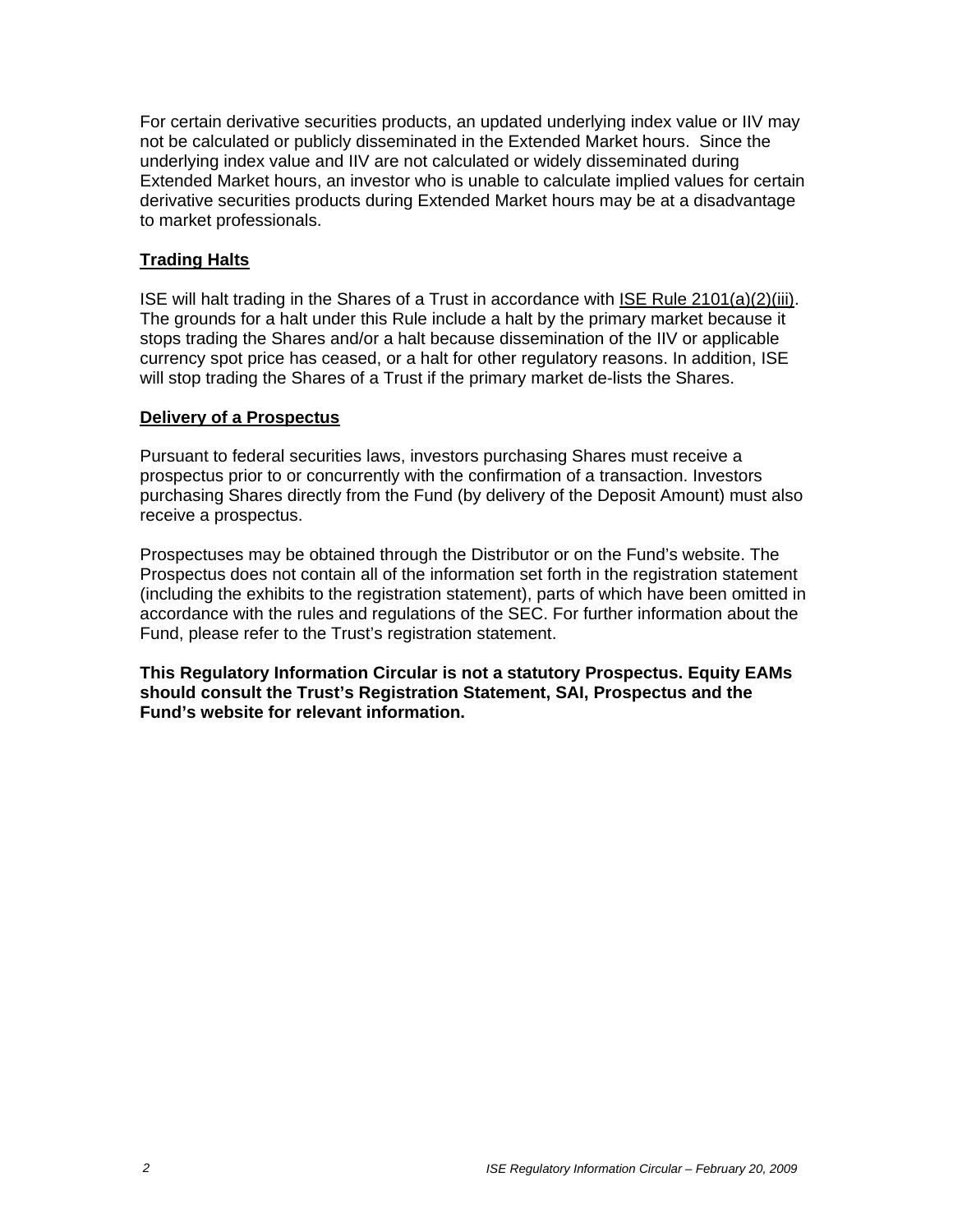For certain derivative securities products, an updated underlying index value or IIV may not be calculated or publicly disseminated in the Extended Market hours. Since the underlying index value and IIV are not calculated or widely disseminated during Extended Market hours, an investor who is unable to calculate implied values for certain derivative securities products during Extended Market hours may be at a disadvantage to market professionals.

## **Trading Halts**

ISE will halt trading in the Shares of a Trust in accordance with ISE Rule 2101(a)(2)(iii). The grounds for a halt under this Rule include a halt by the primary market because it stops trading the Shares and/or a halt because dissemination of the IIV or applicable currency spot price has ceased, or a halt for other regulatory reasons. In addition, ISE will stop trading the Shares of a Trust if the primary market de-lists the Shares.

#### **Delivery of a Prospectus**

Pursuant to federal securities laws, investors purchasing Shares must receive a prospectus prior to or concurrently with the confirmation of a transaction. Investors purchasing Shares directly from the Fund (by delivery of the Deposit Amount) must also receive a prospectus.

Prospectuses may be obtained through the Distributor or on the Fund's website. The Prospectus does not contain all of the information set forth in the registration statement (including the exhibits to the registration statement), parts of which have been omitted in accordance with the rules and regulations of the SEC. For further information about the Fund, please refer to the Trust's registration statement.

**This Regulatory Information Circular is not a statutory Prospectus. Equity EAMs should consult the Trust's Registration Statement, SAI, Prospectus and the Fund's website for relevant information.**